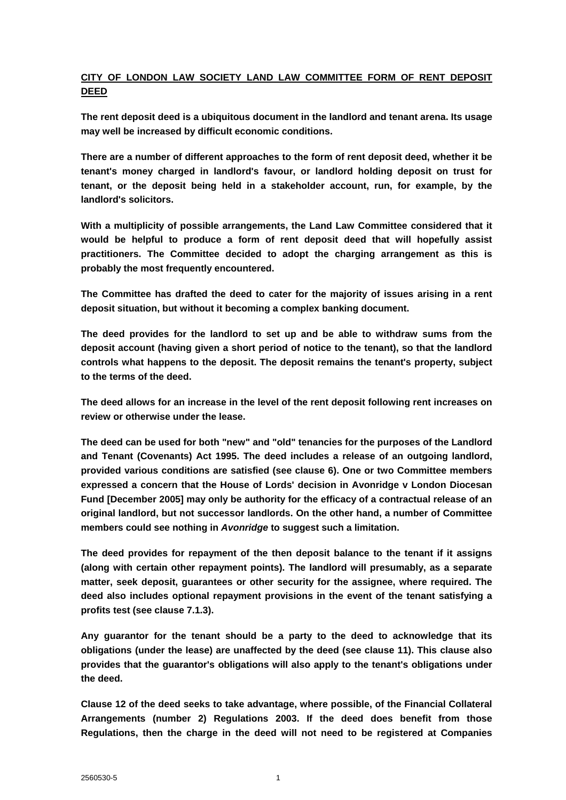# **CITY OF LONDON LAW SOCIETY LAND LAW COMMITTEE FORM OF RENT DEPOSIT DEED**

**The rent deposit deed is a ubiquitous document in the landlord and tenant arena. Its usage may well be increased by difficult economic conditions.** 

**There are a number of different approaches to the form of rent deposit deed, whether it be tenant's money charged in landlord's favour, or landlord holding deposit on trust for tenant, or the deposit being held in a stakeholder account, run, for example, by the landlord's solicitors.** 

**With a multiplicity of possible arrangements, the Land Law Committee considered that it would be helpful to produce a form of rent deposit deed that will hopefully assist practitioners. The Committee decided to adopt the charging arrangement as this is probably the most frequently encountered.** 

**The Committee has drafted the deed to cater for the majority of issues arising in a rent deposit situation, but without it becoming a complex banking document.** 

**The deed provides for the landlord to set up and be able to withdraw sums from the deposit account (having given a short period of notice to the tenant), so that the landlord controls what happens to the deposit. The deposit remains the tenant's property, subject to the terms of the deed.** 

**The deed allows for an increase in the level of the rent deposit following rent increases on review or otherwise under the lease.** 

**The deed can be used for both "new" and "old" tenancies for the purposes of the Landlord and Tenant (Covenants) Act 1995. The deed includes a release of an outgoing landlord, provided various conditions are satisfied (see clause 6). One or two Committee members expressed a concern that the House of Lords' decision in Avonridge v London Diocesan Fund [December 2005] may only be authority for the efficacy of a contractual release of an original landlord, but not successor landlords. On the other hand, a number of Committee members could see nothing in** *Avonridge* **to suggest such a limitation.** 

**The deed provides for repayment of the then deposit balance to the tenant if it assigns (along with certain other repayment points). The landlord will presumably, as a separate matter, seek deposit, guarantees or other security for the assignee, where required. The deed also includes optional repayment provisions in the event of the tenant satisfying a profits test (see clause 7.1.3).** 

**Any guarantor for the tenant should be a party to the deed to acknowledge that its obligations (under the lease) are unaffected by the deed (see clause 11). This clause also provides that the guarantor's obligations will also apply to the tenant's obligations under the deed.** 

**Clause 12 of the deed seeks to take advantage, where possible, of the Financial Collateral Arrangements (number 2) Regulations 2003. If the deed does benefit from those Regulations, then the charge in the deed will not need to be registered at Companies**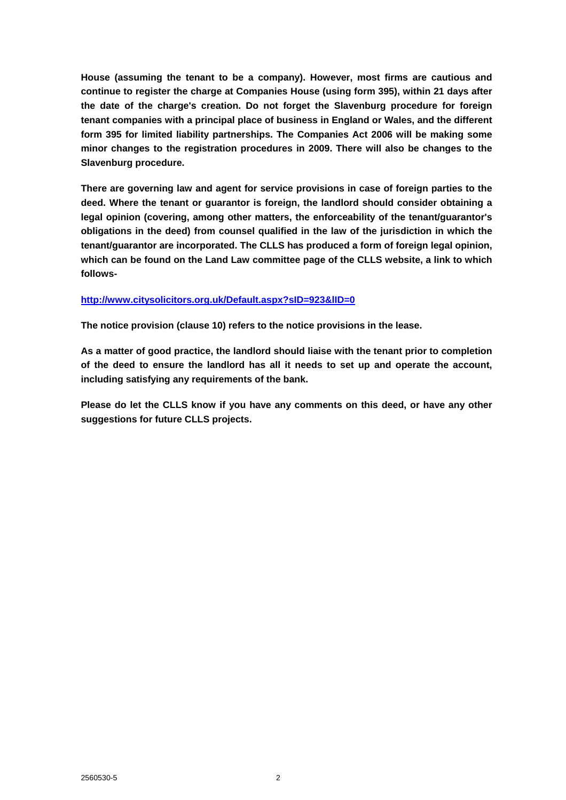**House (assuming the tenant to be a company). However, most firms are cautious and continue to register the charge at Companies House (using form 395), within 21 days after the date of the charge's creation. Do not forget the Slavenburg procedure for foreign tenant companies with a principal place of business in England or Wales, and the different form 395 for limited liability partnerships. The Companies Act 2006 will be making some minor changes to the registration procedures in 2009. There will also be changes to the Slavenburg procedure.** 

**There are governing law and agent for service provisions in case of foreign parties to the deed. Where the tenant or guarantor is foreign, the landlord should consider obtaining a legal opinion (covering, among other matters, the enforceability of the tenant/guarantor's obligations in the deed) from counsel qualified in the law of the jurisdiction in which the tenant/guarantor are incorporated. The CLLS has produced a form of foreign legal opinion, which can be found on the Land Law committee page of the CLLS website, a link to which follows-**

#### **<http://www.citysolicitors.org.uk/Default.aspx?sID=923&lID=0>**

**The notice provision (clause 10) refers to the notice provisions in the lease.** 

**As a matter of good practice, the landlord should liaise with the tenant prior to completion of the deed to ensure the landlord has all it needs to set up and operate the account, including satisfying any requirements of the bank.** 

**Please do let the CLLS know if you have any comments on this deed, or have any other suggestions for future CLLS projects.**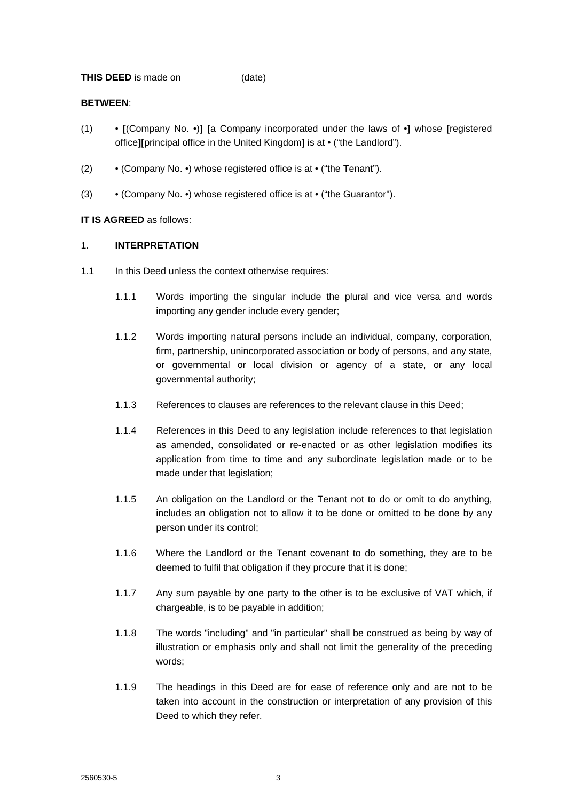**THIS DEED** is made on (date)

### **BETWEEN**:

- (1) **[**(Company No. •)**] [**a Company incorporated under the laws of •**]** whose **[**registered office**][**principal office in the United Kingdom**]** is at • ("the Landlord").
- (2) (Company No. •) whose registered office is at ("the Tenant").
- (3) (Company No. •) whose registered office is at ("the Guarantor").

## **IT IS AGREED** as follows:

### 1. **INTERPRETATION**

- 1.1 In this Deed unless the context otherwise requires:
	- 1.1.1 Words importing the singular include the plural and vice versa and words importing any gender include every gender;
	- 1.1.2 Words importing natural persons include an individual, company, corporation, firm, partnership, unincorporated association or body of persons, and any state, or governmental or local division or agency of a state, or any local governmental authority;
	- 1.1.3 References to clauses are references to the relevant clause in this Deed;
	- 1.1.4 References in this Deed to any legislation include references to that legislation as amended, consolidated or re-enacted or as other legislation modifies its application from time to time and any subordinate legislation made or to be made under that legislation;
	- 1.1.5 An obligation on the Landlord or the Tenant not to do or omit to do anything, includes an obligation not to allow it to be done or omitted to be done by any person under its control;
	- 1.1.6 Where the Landlord or the Tenant covenant to do something, they are to be deemed to fulfil that obligation if they procure that it is done;
	- 1.1.7 Any sum payable by one party to the other is to be exclusive of VAT which, if chargeable, is to be payable in addition;
	- 1.1.8 The words "including" and "in particular" shall be construed as being by way of illustration or emphasis only and shall not limit the generality of the preceding words;
	- 1.1.9 The headings in this Deed are for ease of reference only and are not to be taken into account in the construction or interpretation of any provision of this Deed to which they refer.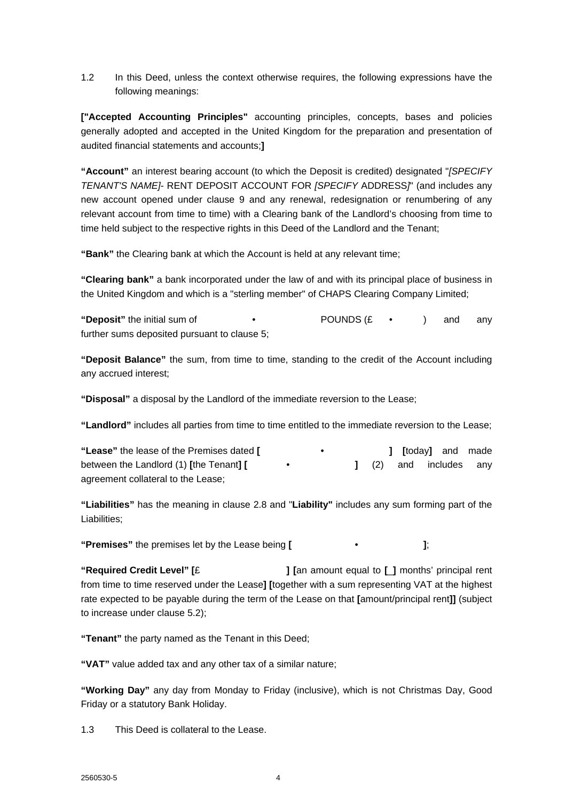1.2 In this Deed, unless the context otherwise requires, the following expressions have the following meanings:

**["Accepted Accounting Principles"** accounting principles, concepts, bases and policies generally adopted and accepted in the United Kingdom for the preparation and presentation of audited financial statements and accounts;**]**

**"Account"** an interest bearing account (to which the Deposit is credited) designated "*[SPECIFY TENANT'S NAME]-* RENT DEPOSIT ACCOUNT FOR *[SPECIFY* ADDRESS*]*" (and includes any new account opened under clause 9 and any renewal, redesignation or renumbering of any relevant account from time to time) with a Clearing bank of the Landlord's choosing from time to time held subject to the respective rights in this Deed of the Landlord and the Tenant;

**"Bank"** the Clearing bank at which the Account is held at any relevant time;

**"Clearing bank"** a bank incorporated under the law of and with its principal place of business in the United Kingdom and which is a "sterling member" of CHAPS Clearing Company Limited;

**"Deposit"** the initial sum of • POUNDS (£ • ) and any further sums deposited pursuant to clause 5;

**"Deposit Balance"** the sum, from time to time, standing to the credit of the Account including any accrued interest;

**"Disposal"** a disposal by the Landlord of the immediate reversion to the Lease;

**"Landlord"** includes all parties from time to time entitled to the immediate reversion to the Lease;

| "Lease" the lease of the Premises dated [ | $\bullet$ |  | 1 [today] and made     |  |
|-------------------------------------------|-----------|--|------------------------|--|
| between the Landlord (1) [the Tenant] [   |           |  | 1 (2) and includes any |  |
| agreement collateral to the Lease;        |           |  |                        |  |

**"Liabilities"** has the meaning in clause 2.8 and "**Liability"** includes any sum forming part of the Liabilities;

**"Premises"** the premises let by the Lease being **[** • **]**;

**"Required Credit Level" [**£ **] [**an amount equal to **[**\_**]** months' principal rent from time to time reserved under the Lease**] [**together with a sum representing VAT at the highest rate expected to be payable during the term of the Lease on that **[**amount/principal rent**]]** (subject to increase under clause 5.2);

**"Tenant"** the party named as the Tenant in this Deed;

**"VAT"** value added tax and any other tax of a similar nature;

**"Working Day"** any day from Monday to Friday (inclusive), which is not Christmas Day, Good Friday or a statutory Bank Holiday.

1.3 This Deed is collateral to the Lease.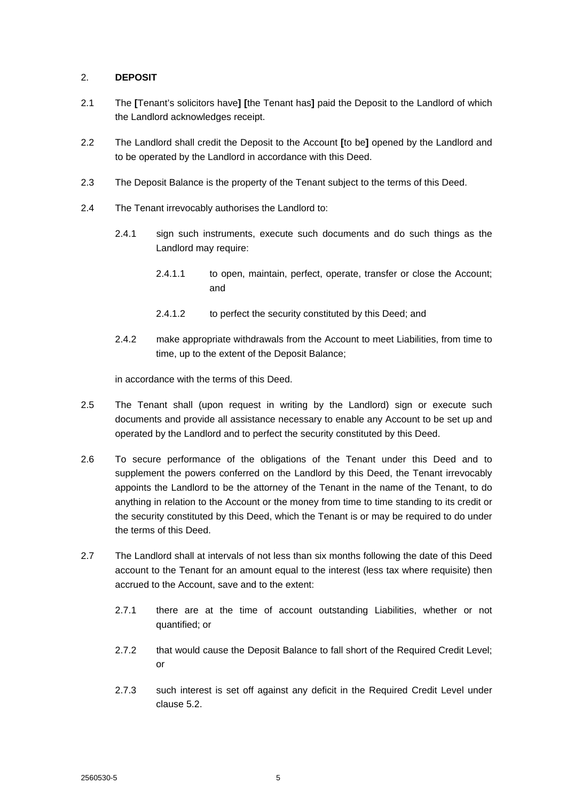## 2. **DEPOSIT**

- 2.1 The **[**Tenant's solicitors have**] [**the Tenant has**]** paid the Deposit to the Landlord of which the Landlord acknowledges receipt.
- 2.2 The Landlord shall credit the Deposit to the Account **[**to be**]** opened by the Landlord and to be operated by the Landlord in accordance with this Deed.
- 2.3 The Deposit Balance is the property of the Tenant subject to the terms of this Deed.
- 2.4 The Tenant irrevocably authorises the Landlord to:
	- 2.4.1 sign such instruments, execute such documents and do such things as the Landlord may require:
		- 2.4.1.1 to open, maintain, perfect, operate, transfer or close the Account; and
		- 2.4.1.2 to perfect the security constituted by this Deed; and
	- 2.4.2 make appropriate withdrawals from the Account to meet Liabilities, from time to time, up to the extent of the Deposit Balance;

in accordance with the terms of this Deed.

- 2.5 The Tenant shall (upon request in writing by the Landlord) sign or execute such documents and provide all assistance necessary to enable any Account to be set up and operated by the Landlord and to perfect the security constituted by this Deed.
- 2.6 To secure performance of the obligations of the Tenant under this Deed and to supplement the powers conferred on the Landlord by this Deed, the Tenant irrevocably appoints the Landlord to be the attorney of the Tenant in the name of the Tenant, to do anything in relation to the Account or the money from time to time standing to its credit or the security constituted by this Deed, which the Tenant is or may be required to do under the terms of this Deed.
- 2.7 The Landlord shall at intervals of not less than six months following the date of this Deed account to the Tenant for an amount equal to the interest (less tax where requisite) then accrued to the Account, save and to the extent:
	- 2.7.1 there are at the time of account outstanding Liabilities, whether or not quantified; or
	- 2.7.2 that would cause the Deposit Balance to fall short of the Required Credit Level; or
	- 2.7.3 such interest is set off against any deficit in the Required Credit Level under clause 5.2.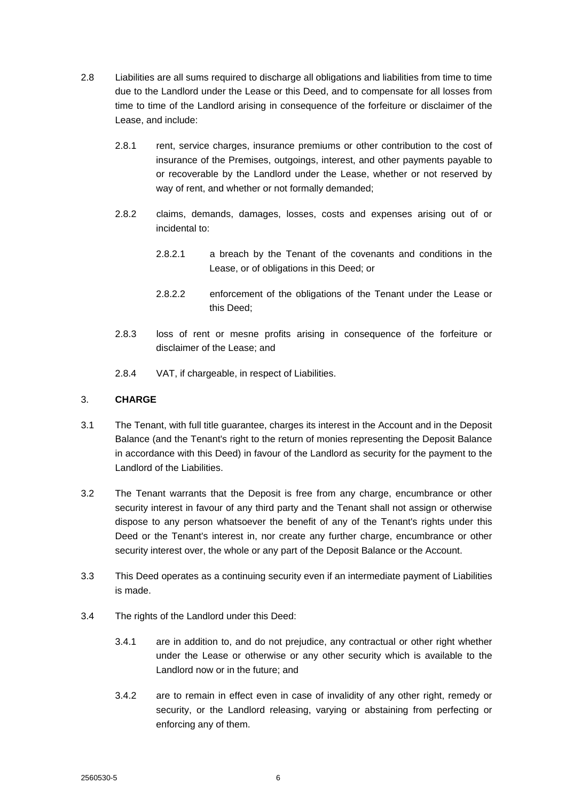- 2.8 Liabilities are all sums required to discharge all obligations and liabilities from time to time due to the Landlord under the Lease or this Deed, and to compensate for all losses from time to time of the Landlord arising in consequence of the forfeiture or disclaimer of the Lease, and include:
	- 2.8.1 rent, service charges, insurance premiums or other contribution to the cost of insurance of the Premises, outgoings, interest, and other payments payable to or recoverable by the Landlord under the Lease, whether or not reserved by way of rent, and whether or not formally demanded;
	- 2.8.2 claims, demands, damages, losses, costs and expenses arising out of or incidental to:
		- 2.8.2.1 a breach by the Tenant of the covenants and conditions in the Lease, or of obligations in this Deed; or
		- 2.8.2.2 enforcement of the obligations of the Tenant under the Lease or this Deed;
	- 2.8.3 loss of rent or mesne profits arising in consequence of the forfeiture or disclaimer of the Lease; and
	- 2.8.4 VAT, if chargeable, in respect of Liabilities.

## 3. **CHARGE**

- 3.1 The Tenant, with full title guarantee, charges its interest in the Account and in the Deposit Balance (and the Tenant's right to the return of monies representing the Deposit Balance in accordance with this Deed) in favour of the Landlord as security for the payment to the Landlord of the Liabilities.
- 3.2 The Tenant warrants that the Deposit is free from any charge, encumbrance or other security interest in favour of any third party and the Tenant shall not assign or otherwise dispose to any person whatsoever the benefit of any of the Tenant's rights under this Deed or the Tenant's interest in, nor create any further charge, encumbrance or other security interest over, the whole or any part of the Deposit Balance or the Account.
- 3.3 This Deed operates as a continuing security even if an intermediate payment of Liabilities is made.
- 3.4 The rights of the Landlord under this Deed:
	- 3.4.1 are in addition to, and do not prejudice, any contractual or other right whether under the Lease or otherwise or any other security which is available to the Landlord now or in the future; and
	- 3.4.2 are to remain in effect even in case of invalidity of any other right, remedy or security, or the Landlord releasing, varying or abstaining from perfecting or enforcing any of them.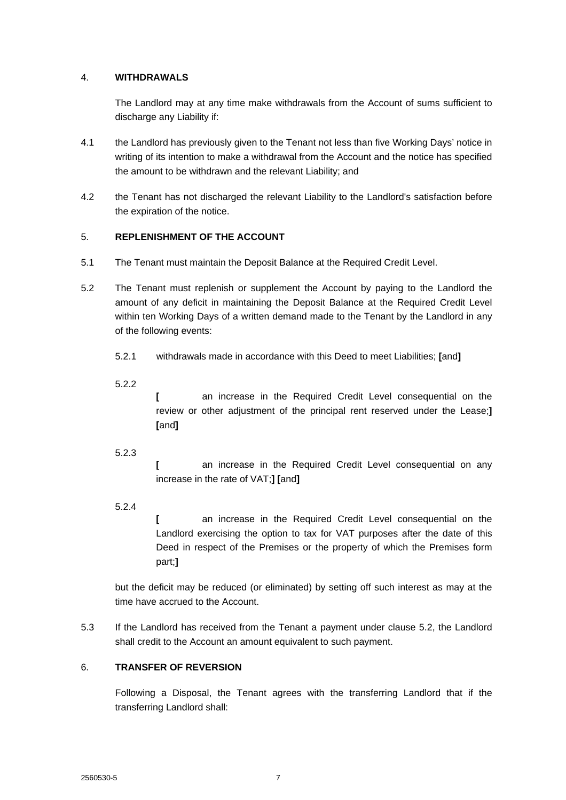## 4. **WITHDRAWALS**

The Landlord may at any time make withdrawals from the Account of sums sufficient to discharge any Liability if:

- 4.1 the Landlord has previously given to the Tenant not less than five Working Days' notice in writing of its intention to make a withdrawal from the Account and the notice has specified the amount to be withdrawn and the relevant Liability; and
- 4.2 the Tenant has not discharged the relevant Liability to the Landlord's satisfaction before the expiration of the notice.

## 5. **REPLENISHMENT OF THE ACCOUNT**

- 5.1 The Tenant must maintain the Deposit Balance at the Required Credit Level.
- 5.2 The Tenant must replenish or supplement the Account by paying to the Landlord the amount of any deficit in maintaining the Deposit Balance at the Required Credit Level within ten Working Days of a written demand made to the Tenant by the Landlord in any of the following events:
	- 5.2.1 withdrawals made in accordance with this Deed to meet Liabilities; **[**and**]**

5.2.2

**[** an increase in the Required Credit Level consequential on the review or other adjustment of the principal rent reserved under the Lease;**] [**and**]**

5.2.3

**[** an increase in the Required Credit Level consequential on any increase in the rate of VAT;**] [**and**]**

5.2.4

**[** an increase in the Required Credit Level consequential on the Landlord exercising the option to tax for VAT purposes after the date of this Deed in respect of the Premises or the property of which the Premises form part;**]**

but the deficit may be reduced (or eliminated) by setting off such interest as may at the time have accrued to the Account.

5.3 If the Landlord has received from the Tenant a payment under clause 5.2, the Landlord shall credit to the Account an amount equivalent to such payment.

# 6. **TRANSFER OF REVERSION**

Following a Disposal, the Tenant agrees with the transferring Landlord that if the transferring Landlord shall: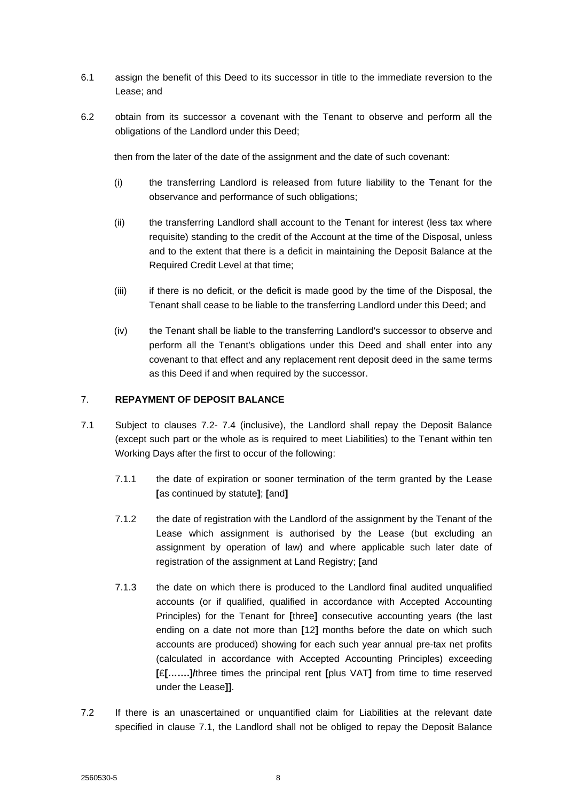- 6.1 assign the benefit of this Deed to its successor in title to the immediate reversion to the Lease; and
- 6.2 obtain from its successor a covenant with the Tenant to observe and perform all the obligations of the Landlord under this Deed;

then from the later of the date of the assignment and the date of such covenant:

- (i) the transferring Landlord is released from future liability to the Tenant for the observance and performance of such obligations;
- (ii) the transferring Landlord shall account to the Tenant for interest (less tax where requisite) standing to the credit of the Account at the time of the Disposal, unless and to the extent that there is a deficit in maintaining the Deposit Balance at the Required Credit Level at that time;
- (iii) if there is no deficit, or the deficit is made good by the time of the Disposal, the Tenant shall cease to be liable to the transferring Landlord under this Deed; and
- (iv) the Tenant shall be liable to the transferring Landlord's successor to observe and perform all the Tenant's obligations under this Deed and shall enter into any covenant to that effect and any replacement rent deposit deed in the same terms as this Deed if and when required by the successor.

## 7. **REPAYMENT OF DEPOSIT BALANCE**

- 7.1 Subject to clauses 7.2- 7.4 (inclusive), the Landlord shall repay the Deposit Balance (except such part or the whole as is required to meet Liabilities) to the Tenant within ten Working Days after the first to occur of the following:
	- 7.1.1 the date of expiration or sooner termination of the term granted by the Lease **[**as continued by statute**]**; **[**and**]**
	- 7.1.2 the date of registration with the Landlord of the assignment by the Tenant of the Lease which assignment is authorised by the Lease (but excluding an assignment by operation of law) and where applicable such later date of registration of the assignment at Land Registry; **[**and
	- 7.1.3 the date on which there is produced to the Landlord final audited unqualified accounts (or if qualified, qualified in accordance with Accepted Accounting Principles) for the Tenant for **[**three**]** consecutive accounting years (the last ending on a date not more than **[**12**]** months before the date on which such accounts are produced) showing for each such year annual pre-tax net profits (calculated in accordance with Accepted Accounting Principles) exceeding **[**£**[…….]/**three times the principal rent **[**plus VAT**]** from time to time reserved under the Lease**]]**.
- 7.2 If there is an unascertained or unquantified claim for Liabilities at the relevant date specified in clause 7.1, the Landlord shall not be obliged to repay the Deposit Balance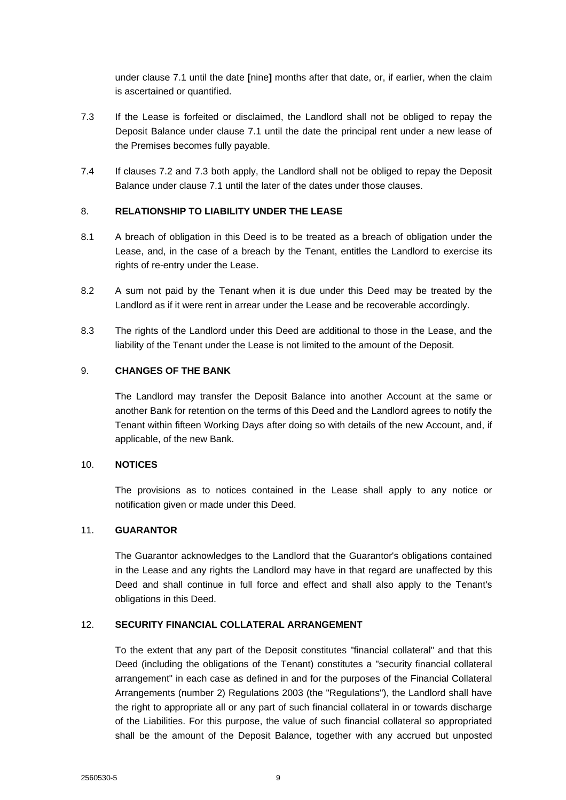under clause 7.1 until the date **[**nine**]** months after that date, or, if earlier, when the claim is ascertained or quantified.

- 7.3 If the Lease is forfeited or disclaimed, the Landlord shall not be obliged to repay the Deposit Balance under clause 7.1 until the date the principal rent under a new lease of the Premises becomes fully payable.
- 7.4 If clauses 7.2 and 7.3 both apply, the Landlord shall not be obliged to repay the Deposit Balance under clause 7.1 until the later of the dates under those clauses.

## 8. **RELATIONSHIP TO LIABILITY UNDER THE LEASE**

- 8.1 A breach of obligation in this Deed is to be treated as a breach of obligation under the Lease, and, in the case of a breach by the Tenant, entitles the Landlord to exercise its rights of re-entry under the Lease.
- 8.2 A sum not paid by the Tenant when it is due under this Deed may be treated by the Landlord as if it were rent in arrear under the Lease and be recoverable accordingly.
- 8.3 The rights of the Landlord under this Deed are additional to those in the Lease, and the liability of the Tenant under the Lease is not limited to the amount of the Deposit.

## 9. **CHANGES OF THE BANK**

The Landlord may transfer the Deposit Balance into another Account at the same or another Bank for retention on the terms of this Deed and the Landlord agrees to notify the Tenant within fifteen Working Days after doing so with details of the new Account, and, if applicable, of the new Bank.

### 10. **NOTICES**

The provisions as to notices contained in the Lease shall apply to any notice or notification given or made under this Deed.

### 11. **GUARANTOR**

The Guarantor acknowledges to the Landlord that the Guarantor's obligations contained in the Lease and any rights the Landlord may have in that regard are unaffected by this Deed and shall continue in full force and effect and shall also apply to the Tenant's obligations in this Deed.

### 12. **SECURITY FINANCIAL COLLATERAL ARRANGEMENT**

To the extent that any part of the Deposit constitutes "financial collateral" and that this Deed (including the obligations of the Tenant) constitutes a "security financial collateral arrangement" in each case as defined in and for the purposes of the Financial Collateral Arrangements (number 2) Regulations 2003 (the "Regulations"), the Landlord shall have the right to appropriate all or any part of such financial collateral in or towards discharge of the Liabilities. For this purpose, the value of such financial collateral so appropriated shall be the amount of the Deposit Balance, together with any accrued but unposted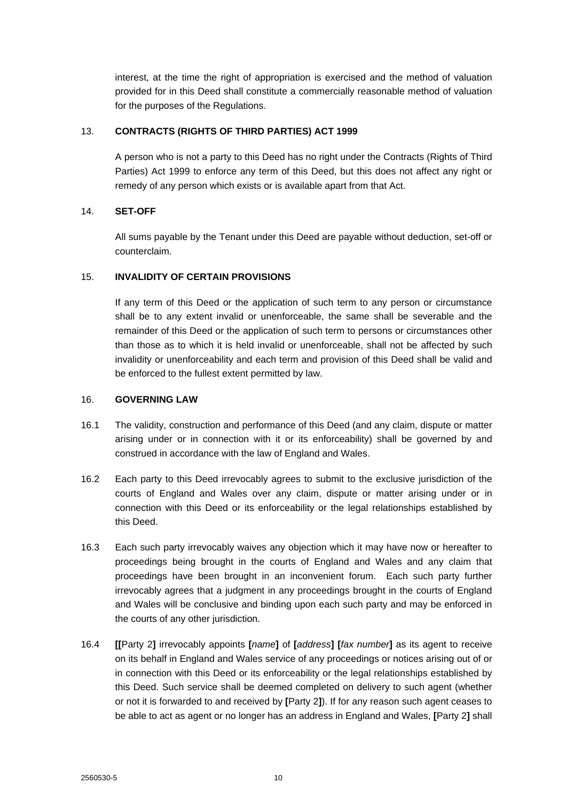interest, at the time the right of appropriation is exercised and the method of valuation provided for in this Deed shall constitute a commercially reasonable method of valuation for the purposes of the Regulations.

## 13. **CONTRACTS (RIGHTS OF THIRD PARTIES) ACT 1999**

A person who is not a party to this Deed has no right under the Contracts (Rights of Third Parties) Act 1999 to enforce any term of this Deed, but this does not affect any right or remedy of any person which exists or is available apart from that Act.

# 14. **SET-OFF**

All sums payable by the Tenant under this Deed are payable without deduction, set-off or counterclaim.

## 15. **INVALIDITY OF CERTAIN PROVISIONS**

If any term of this Deed or the application of such term to any person or circumstance shall be to any extent invalid or unenforceable, the same shall be severable and the remainder of this Deed or the application of such term to persons or circumstances other than those as to which it is held invalid or unenforceable, shall not be affected by such invalidity or unenforceability and each term and provision of this Deed shall be valid and be enforced to the fullest extent permitted by law.

### 16. **GOVERNING LAW**

- 16.1 The validity, construction and performance of this Deed (and any claim, dispute or matter arising under or in connection with it or its enforceability) shall be governed by and construed in accordance with the law of England and Wales.
- 16.2 Each party to this Deed irrevocably agrees to submit to the exclusive jurisdiction of the courts of England and Wales over any claim, dispute or matter arising under or in connection with this Deed or its enforceability or the legal relationships established by this Deed.
- 16.3 Each such party irrevocably waives any objection which it may have now or hereafter to proceedings being brought in the courts of England and Wales and any claim that proceedings have been brought in an inconvenient forum. Each such party further irrevocably agrees that a judgment in any proceedings brought in the courts of England and Wales will be conclusive and binding upon each such party and may be enforced in the courts of any other jurisdiction.
- 16.4 **[[**Party 2**]** irrevocably appoints **[***name***]** of **[***address***] [***fax number***]** as its agent to receive on its behalf in England and Wales service of any proceedings or notices arising out of or in connection with this Deed or its enforceability or the legal relationships established by this Deed. Such service shall be deemed completed on delivery to such agent (whether or not it is forwarded to and received by **[**Party 2**]**). If for any reason such agent ceases to be able to act as agent or no longer has an address in England and Wales, **[**Party 2**]** shall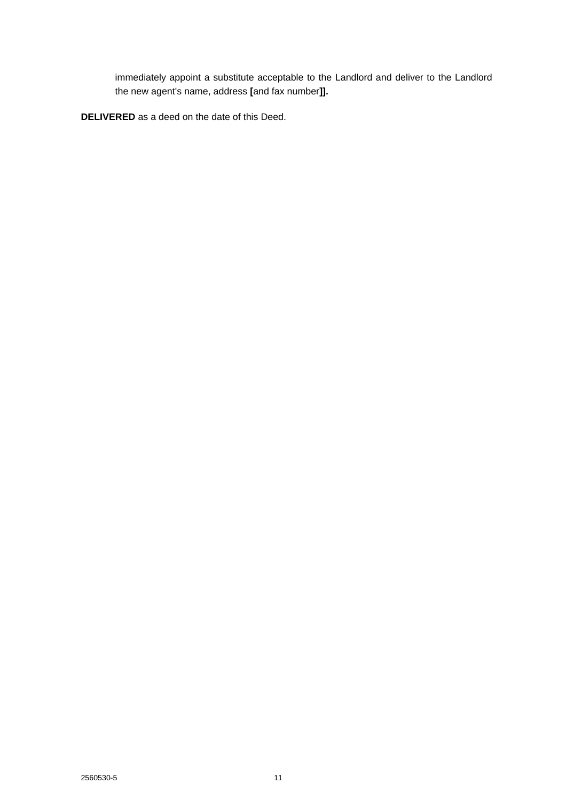immediately appoint a substitute acceptable to the Landlord and deliver to the Landlord the new agent's name, address **[**and fax number**]].**

**DELIVERED** as a deed on the date of this Deed.